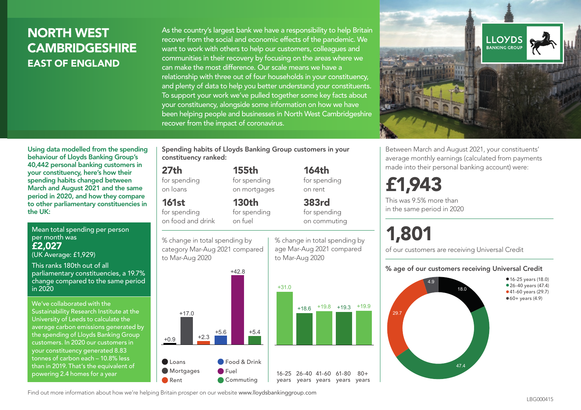## NORTH WEST **CAMBRIDGESHIRE** EAST OF ENGLAND

As the country's largest bank we have a responsibility to help Britain recover from the social and economic effects of the pandemic. We want to work with others to help our customers, colleagues and communities in their recovery by focusing on the areas where we can make the most difference. Our scale means we have a relationship with three out of four households in your constituency, and plenty of data to help you better understand your constituents. To support your work we've pulled together some key facts about your constituency, alongside some information on how we have been helping people and businesses in North West Cambridgeshire recover from the impact of coronavirus.



Between March and August 2021, your constituents' average monthly earnings (calculated from payments made into their personal banking account) were:

## £1,943

This was 9.5% more than in the same period in 2020

# 1,801

of our customers are receiving Universal Credit

#### % age of our customers receiving Universal Credit



• 16-25 years (18.0) • 26-40 years (47.4) • 41-60 years (29.7)  $•60+ years (4.9)$ 

Using data modelled from the spending behaviour of Lloyds Banking Group's 40,442 personal banking customers in your constituency, here's how their spending habits changed between March and August 2021 and the same period in 2020, and how they compare to other parliamentary constituencies in the UK:

Mean total spending per person per month was £2,027

(UK Average: £1,929)

This ranks 180th out of all parliamentary constituencies, a 19.7% change compared to the same period in 2020

We've collaborated with the Sustainability Research Institute at the University of Leeds to calculate the average carbon emissions generated by the spending of Lloyds Banking Group customers. In 2020 our customers in your constituency generated 8.83 tonnes of carbon each – 10.8% less than in 2019. That's the equivalent of powering 2.4 homes for a year

Spending habits of Lloyds Banking Group customers in your constituency ranked:

> 155th for spending on mortgages

130th

% change in total spending by age Mar-Aug 2021 compared

164th for spending on rent

383rd for spending on commuting

 $80+$ 

to Mar-Aug 2020

#### 27th

for spending on loans

161st

for spending on food and drink for spending on fuel

% change in total spending by category Mar-Aug 2021 compared to Mar-Aug 2020



Find out more information about how we're helping Britain prosper on our website www.lloydsbankinggroup.com